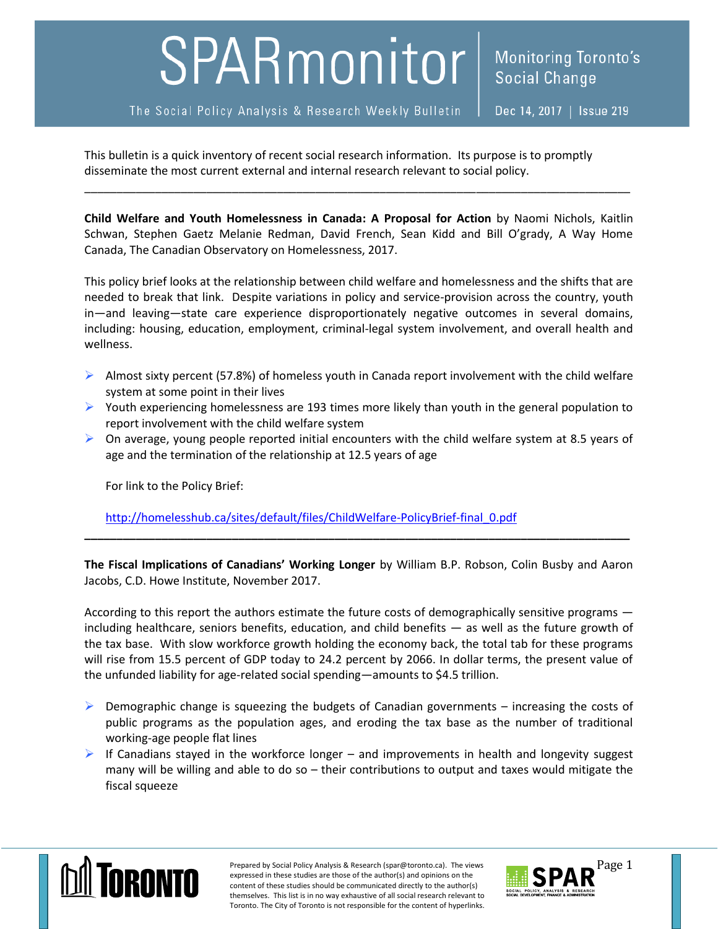## SPARmonitor

This bulletin is a quick inventory of recent social research information. Its purpose is to promptly disseminate the most current external and internal research relevant to social policy.

**Child Welfare and Youth Homelessness in Canada: A Proposal for Action** by Naomi Nichols, Kaitlin Schwan, Stephen Gaetz Melanie Redman, David French, Sean Kidd and Bill O'grady, A Way Home Canada, The Canadian Observatory on Homelessness, 2017.

\_\_\_\_\_\_\_\_\_\_\_\_\_\_\_\_\_\_\_\_\_\_\_\_\_\_\_\_\_\_\_\_\_\_\_\_\_\_\_\_\_\_\_\_\_\_\_\_\_\_\_\_\_\_\_\_\_\_\_\_\_\_\_\_\_\_\_\_\_\_\_\_\_\_\_\_\_\_\_\_\_\_\_\_\_

This policy brief looks at the relationship between child welfare and homelessness and the shifts that are needed to break that link. Despite variations in policy and service-provision across the country, youth in—and leaving—state care experience disproportionately negative outcomes in several domains, including: housing, education, employment, criminal-legal system involvement, and overall health and wellness.

- Almost sixty percent (57.8%) of homeless youth in Canada report involvement with the child welfare system at some point in their lives
- $\triangleright$  Youth experiencing homelessness are 193 times more likely than youth in the general population to report involvement with the child welfare system
- $\triangleright$  On average, young people reported initial encounters with the child welfare system at 8.5 years of age and the termination of the relationship at 12.5 years of age

For link to the Policy Brief:

[http://homelesshub.ca/sites/default/files/ChildWelfare-PolicyBrief-final\\_0.pdf](http://homelesshub.ca/sites/default/files/ChildWelfare-PolicyBrief-final_0.pdf)

**The Fiscal Implications of Canadians' Working Longer** by William B.P. Robson, Colin Busby and Aaron Jacobs, C.D. Howe Institute, November 2017.

**\_\_\_\_\_\_\_\_\_\_\_\_\_\_\_\_\_\_\_\_\_\_\_\_\_\_\_\_\_\_\_\_\_\_\_\_\_\_\_\_\_\_\_\_\_\_\_\_\_\_\_\_\_\_\_\_\_\_\_\_\_\_\_\_\_\_\_\_\_\_\_\_\_\_\_\_\_\_\_\_\_\_\_\_\_**

According to this report the authors estimate the future costs of demographically sensitive programs  $$ including healthcare, seniors benefits, education, and child benefits — as well as the future growth of the tax base. With slow workforce growth holding the economy back, the total tab for these programs will rise from 15.5 percent of GDP today to 24.2 percent by 2066. In dollar terms, the present value of the unfunded liability for age-related social spending—amounts to \$4.5 trillion.

- $\triangleright$  Demographic change is squeezing the budgets of Canadian governments increasing the costs of public programs as the population ages, and eroding the tax base as the number of traditional working-age people flat lines
- $\triangleright$  If Canadians stayed in the workforce longer and improvements in health and longevity suggest many will be willing and able to do so – their contributions to output and taxes would mitigate the fiscal squeeze



Prepared by Social Policy Analysis & Research (spar@toronto.ca). The views Page 1 expressed in these studies are those of the author(s) and opinions on the content of these studies should be communicated directly to the author(s) themselves. This list is in no way exhaustive of all social research relevant to Toronto. The City of Toronto is not responsible for the content of hyperlinks.

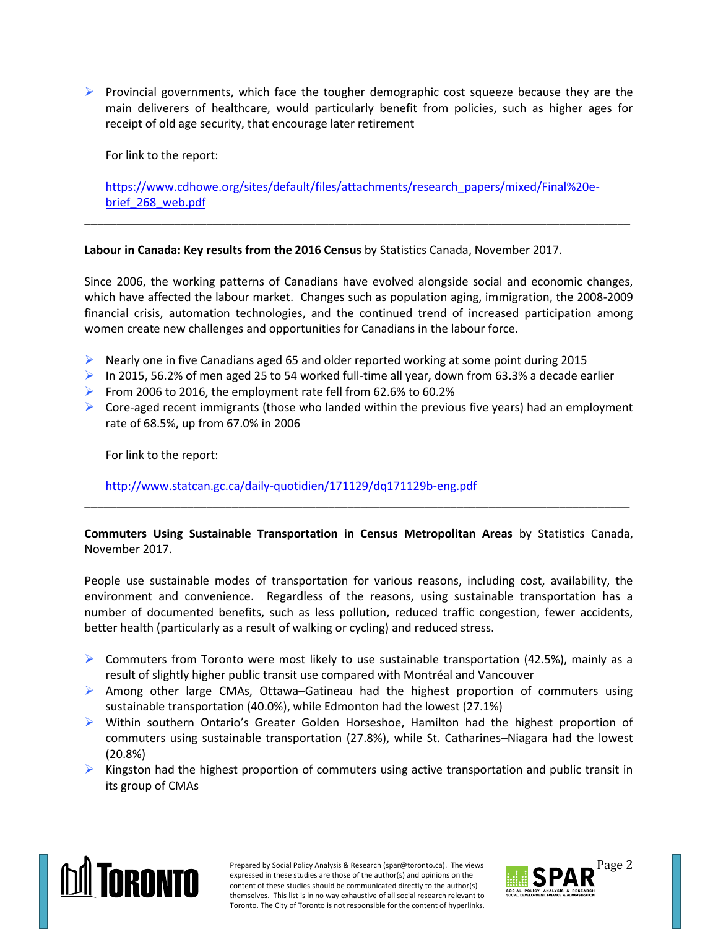**Provincial governments, which face the tougher demographic cost squeeze because they are the** main deliverers of healthcare, would particularly benefit from policies, such as higher ages for receipt of old age security, that encourage later retirement

For link to the report:

[https://www.cdhowe.org/sites/default/files/attachments/research\\_papers/mixed/Final%20e](https://www.cdhowe.org/sites/default/files/attachments/research_papers/mixed/Final%20e-brief_268_web.pdf)[brief\\_268\\_web.pdf](https://www.cdhowe.org/sites/default/files/attachments/research_papers/mixed/Final%20e-brief_268_web.pdf)

\_\_\_\_\_\_\_\_\_\_\_\_\_\_\_\_\_\_\_\_\_\_\_\_\_\_\_\_\_\_\_\_\_\_\_\_\_\_\_\_\_\_\_\_\_\_\_\_\_\_\_\_\_\_\_\_\_\_\_\_\_\_\_\_\_\_\_\_\_\_\_\_\_\_\_\_\_\_\_\_\_\_\_\_\_

## **Labour in Canada: Key results from the 2016 Census** by Statistics Canada, November 2017.

Since 2006, the working patterns of Canadians have evolved alongside social and economic changes, which have affected the labour market. Changes such as population aging, immigration, the 2008-2009 financial crisis, automation technologies, and the continued trend of increased participation among women create new challenges and opportunities for Canadians in the labour force.

- $\triangleright$  Nearly one in five Canadians aged 65 and older reported working at some point during 2015
- In 2015, 56.2% of men aged 25 to 54 worked full-time all year, down from 63.3% a decade earlier
- From 2006 to 2016, the employment rate fell from  $62.6\%$  to  $60.2\%$
- $\triangleright$  Core-aged recent immigrants (those who landed within the previous five years) had an employment rate of 68.5%, up from 67.0% in 2006

For link to the report:

<http://www.statcan.gc.ca/daily-quotidien/171129/dq171129b-eng.pdf>

**Commuters Using Sustainable Transportation in Census Metropolitan Areas** by Statistics Canada, November 2017.

\_\_\_\_\_\_\_\_\_\_\_\_\_\_\_\_\_\_\_\_\_\_\_\_\_\_\_\_\_\_\_\_\_\_\_\_\_\_\_\_\_\_\_\_\_\_\_\_\_\_\_\_\_\_\_\_\_\_\_\_\_\_\_\_\_\_\_\_\_\_\_\_\_\_\_\_\_\_\_\_\_\_\_\_\_

People use sustainable modes of transportation for various reasons, including cost, availability, the environment and convenience. Regardless of the reasons, using sustainable transportation has a number of documented benefits, such as less pollution, reduced traffic congestion, fewer accidents, better health (particularly as a result of walking or cycling) and reduced stress.

- $\triangleright$  Commuters from Toronto were most likely to use sustainable transportation (42.5%), mainly as a result of slightly higher public transit use compared with Montréal and Vancouver
- $\triangleright$  Among other large CMAs, Ottawa–Gatineau had the highest proportion of commuters using sustainable transportation (40.0%), while Edmonton had the lowest (27.1%)
- Within southern Ontario's Greater Golden Horseshoe, Hamilton had the highest proportion of commuters using sustainable transportation (27.8%), while St. Catharines–Niagara had the lowest (20.8%)
- $\triangleright$  Kingston had the highest proportion of commuters using active transportation and public transit in its group of CMAs